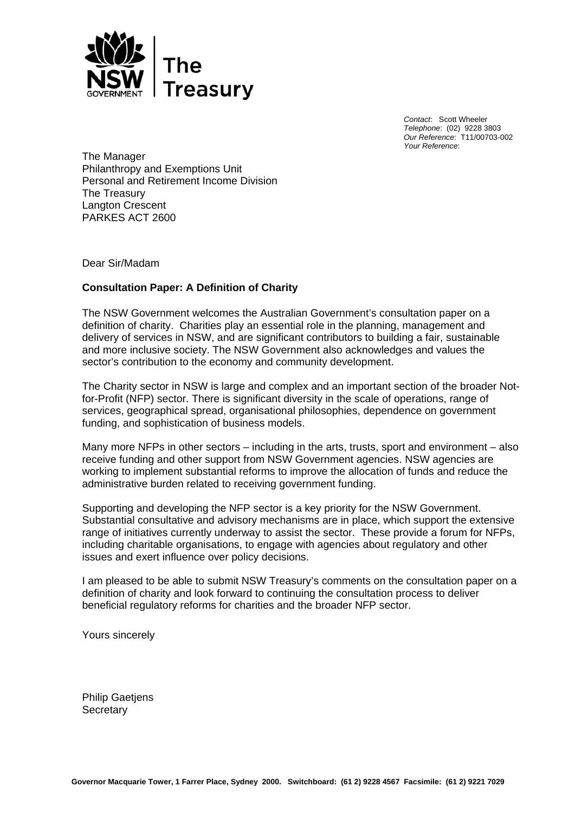

*Contact*: Scott Wheeler *Telephone*: (02) 9228 3803 *Our Reference*: T11/00703-002 *Your Reference*:

The Manager Philanthropy and Exemptions Unit Personal and Retirement Income Division The Treasury Langton Crescent PARKES ACT 2600

Dear Sir/Madam

# **Consultation Paper: A Definition of Charity**

The NSW Government welcomes the Australian Government's consultation paper on a definition of charity. Charities play an essential role in the planning, management and delivery of services in NSW, and are significant contributors to building a fair, sustainable and more inclusive society. The NSW Government also acknowledges and values the sector's contribution to the economy and community development.

The Charity sector in NSW is large and complex and an important section of the broader Notfor-Profit (NFP) sector. There is significant diversity in the scale of operations, range of services, geographical spread, organisational philosophies, dependence on government funding, and sophistication of business models.

Many more NFPs in other sectors – including in the arts, trusts, sport and environment – also receive funding and other support from NSW Government agencies. NSW agencies are working to implement substantial reforms to improve the allocation of funds and reduce the administrative burden related to receiving government funding.

Supporting and developing the NFP sector is a key priority for the NSW Government. Substantial consultative and advisory mechanisms are in place, which support the extensive range of initiatives currently underway to assist the sector. These provide a forum for NFPs, including charitable organisations, to engage with agencies about regulatory and other issues and exert influence over policy decisions.

I am pleased to be able to submit NSW Treasury's comments on the consultation paper on a definition of charity and look forward to continuing the consultation process to deliver beneficial regulatory reforms for charities and the broader NFP sector.

Yours sincerely

Philip Gaetjens **Secretary**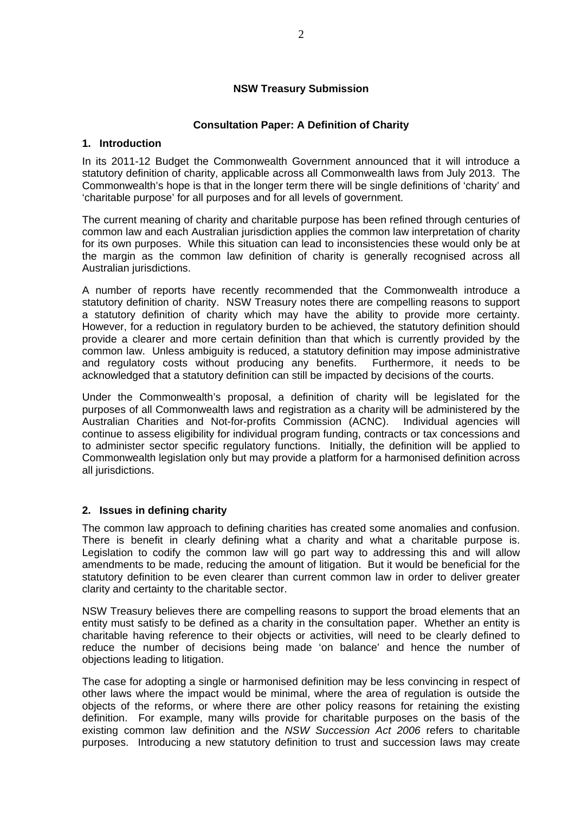## **NSW Treasury Submission**

## **Consultation Paper: A Definition of Charity**

#### **1. Introduction**

In its 2011-12 Budget the Commonwealth Government announced that it will introduce a statutory definition of charity, applicable across all Commonwealth laws from July 2013. The Commonwealth's hope is that in the longer term there will be single definitions of 'charity' and 'charitable purpose' for all purposes and for all levels of government.

The current meaning of charity and charitable purpose has been refined through centuries of common law and each Australian jurisdiction applies the common law interpretation of charity for its own purposes. While this situation can lead to inconsistencies these would only be at the margin as the common law definition of charity is generally recognised across all Australian jurisdictions.

A number of reports have recently recommended that the Commonwealth introduce a statutory definition of charity. NSW Treasury notes there are compelling reasons to support a statutory definition of charity which may have the ability to provide more certainty. However, for a reduction in regulatory burden to be achieved, the statutory definition should provide a clearer and more certain definition than that which is currently provided by the common law. Unless ambiguity is reduced, a statutory definition may impose administrative and regulatory costs without producing any benefits. Furthermore, it needs to be acknowledged that a statutory definition can still be impacted by decisions of the courts.

Under the Commonwealth's proposal, a definition of charity will be legislated for the purposes of all Commonwealth laws and registration as a charity will be administered by the Australian Charities and Not-for-profits Commission (ACNC). Individual agencies will continue to assess eligibility for individual program funding, contracts or tax concessions and to administer sector specific regulatory functions. Initially, the definition will be applied to Commonwealth legislation only but may provide a platform for a harmonised definition across all jurisdictions.

### **2. Issues in defining charity**

The common law approach to defining charities has created some anomalies and confusion. There is benefit in clearly defining what a charity and what a charitable purpose is. Legislation to codify the common law will go part way to addressing this and will allow amendments to be made, reducing the amount of litigation. But it would be beneficial for the statutory definition to be even clearer than current common law in order to deliver greater clarity and certainty to the charitable sector.

NSW Treasury believes there are compelling reasons to support the broad elements that an entity must satisfy to be defined as a charity in the consultation paper. Whether an entity is charitable having reference to their objects or activities, will need to be clearly defined to reduce the number of decisions being made 'on balance' and hence the number of objections leading to litigation.

The case for adopting a single or harmonised definition may be less convincing in respect of other laws where the impact would be minimal, where the area of regulation is outside the objects of the reforms, or where there are other policy reasons for retaining the existing definition. For example, many wills provide for charitable purposes on the basis of the existing common law definition and the *NSW Succession Act 2006* refers to charitable purposes. Introducing a new statutory definition to trust and succession laws may create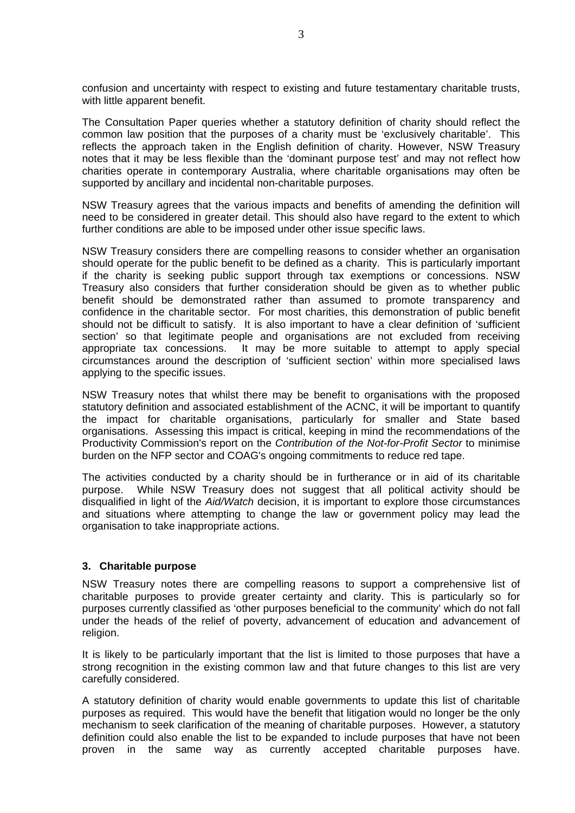confusion and uncertainty with respect to existing and future testamentary charitable trusts, with little apparent benefit.

The Consultation Paper queries whether a statutory definition of charity should reflect the common law position that the purposes of a charity must be 'exclusively charitable'. This reflects the approach taken in the English definition of charity. However, NSW Treasury notes that it may be less flexible than the 'dominant purpose test' and may not reflect how charities operate in contemporary Australia, where charitable organisations may often be supported by ancillary and incidental non-charitable purposes.

NSW Treasury agrees that the various impacts and benefits of amending the definition will need to be considered in greater detail. This should also have regard to the extent to which further conditions are able to be imposed under other issue specific laws.

NSW Treasury considers there are compelling reasons to consider whether an organisation should operate for the public benefit to be defined as a charity. This is particularly important if the charity is seeking public support through tax exemptions or concessions. NSW Treasury also considers that further consideration should be given as to whether public benefit should be demonstrated rather than assumed to promote transparency and confidence in the charitable sector. For most charities, this demonstration of public benefit should not be difficult to satisfy. It is also important to have a clear definition of 'sufficient section' so that legitimate people and organisations are not excluded from receiving appropriate tax concessions. It may be more suitable to attempt to apply special circumstances around the description of 'sufficient section' within more specialised laws applying to the specific issues.

NSW Treasury notes that whilst there may be benefit to organisations with the proposed statutory definition and associated establishment of the ACNC, it will be important to quantify the impact for charitable organisations, particularly for smaller and State based organisations. Assessing this impact is critical, keeping in mind the recommendations of the Productivity Commission's report on the *Contribution of the Not-for-Profit Sector* to minimise burden on the NFP sector and COAG's ongoing commitments to reduce red tape.

The activities conducted by a charity should be in furtherance or in aid of its charitable purpose. While NSW Treasury does not suggest that all political activity should be disqualified in light of the *Aid/Watch* decision, it is important to explore those circumstances and situations where attempting to change the law or government policy may lead the organisation to take inappropriate actions.

### **3. Charitable purpose**

NSW Treasury notes there are compelling reasons to support a comprehensive list of charitable purposes to provide greater certainty and clarity. This is particularly so for purposes currently classified as 'other purposes beneficial to the community' which do not fall under the heads of the relief of poverty, advancement of education and advancement of religion.

It is likely to be particularly important that the list is limited to those purposes that have a strong recognition in the existing common law and that future changes to this list are very carefully considered.

A statutory definition of charity would enable governments to update this list of charitable purposes as required. This would have the benefit that litigation would no longer be the only mechanism to seek clarification of the meaning of charitable purposes. However, a statutory definition could also enable the list to be expanded to include purposes that have not been proven in the same way as currently accepted charitable purposes have.